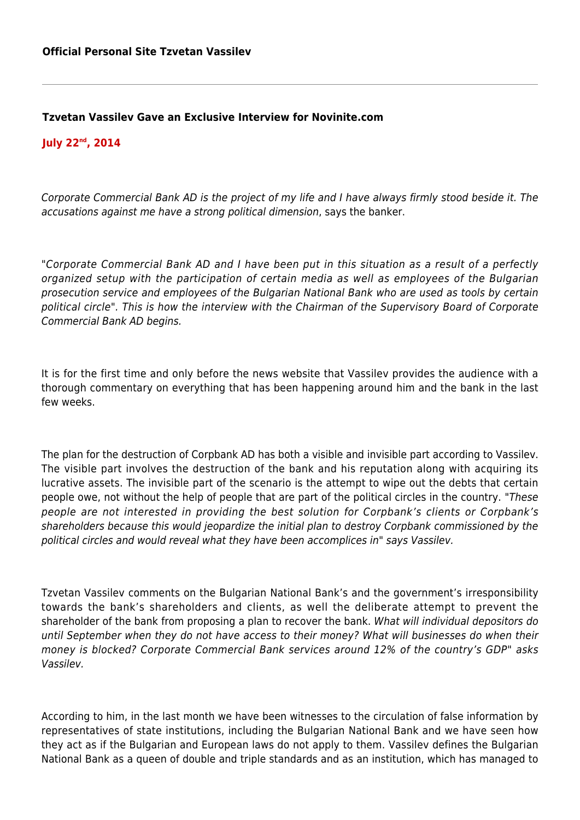## **Tzvetan Vassilev Gave an Exclusive Interview for Novinite.com**

## **July 22nd, 2014**

Corporate Commercial Bank AD is the project of my life and I have always firmly stood beside it. The accusations against me have a strong political dimension, says the banker.

"Corporate Commercial Bank AD and I have been put in this situation as a result of a perfectly organized setup with the participation of certain media as well as employees of the Bulgarian prosecution service and employees of the Bulgarian National Bank who are used as tools by certain political circle". This is how the interview with the Chairman of the Supervisory Board of Corporate Commercial Bank AD begins.

It is for the first time and only before the news website that Vassilev provides the audience with a thorough commentary on everything that has been happening around him and the bank in the last few weeks.

The plan for the destruction of Corpbank AD has both a visible and invisible part according to Vassilev. The visible part involves the destruction of the bank and his reputation along with acquiring its lucrative assets. The invisible part of the scenario is the attempt to wipe out the debts that certain people owe, not without the help of people that are part of the political circles in the country. "These people are not interested in providing the best solution for Corpbank's clients or Corpbank's shareholders because this would jeopardize the initial plan to destroy Corpbank commissioned by the political circles and would reveal what they have been accomplices in" says Vassilev.

Tzvetan Vassilev comments on the Bulgarian National Bank's and the government's irresponsibility towards the bank's shareholders and clients, as well the deliberate attempt to prevent the shareholder of the bank from proposing a plan to recover the bank. What will individual depositors do until September when they do not have access to their money? What will businesses do when their money is blocked? Corporate Commercial Bank services around 12% of the country's GDP" asks Vassilev.

According to him, in the last month we have been witnesses to the circulation of false information by representatives of state institutions, including the Bulgarian National Bank and we have seen how they act as if the Bulgarian and European laws do not apply to them. Vassilev defines the Bulgarian National Bank as a queen of double and triple standards and as an institution, which has managed to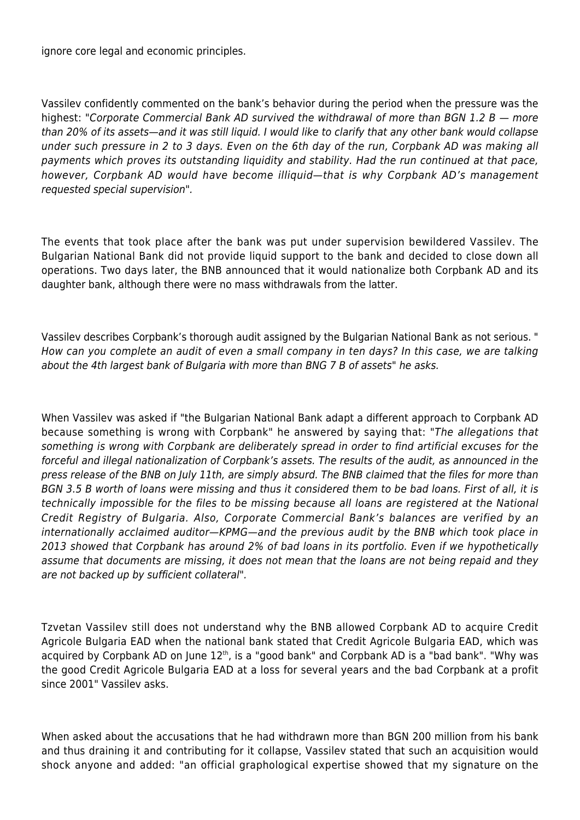ignore core legal and economic principles.

Vassilev confidently commented on the bank's behavior during the period when the pressure was the highest: "Corporate Commercial Bank AD survived the withdrawal of more than BGN 1.2 B  $-$  more than 20% of its assets—and it was still liquid. I would like to clarify that any other bank would collapse under such pressure in 2 to 3 days. Even on the 6th day of the run, Corpbank AD was making all payments which proves its outstanding liquidity and stability. Had the run continued at that pace, however, Corpbank AD would have become illiquid—that is why Corpbank AD's management requested special supervision".

The events that took place after the bank was put under supervision bewildered Vassilev. The Bulgarian National Bank did not provide liquid support to the bank and decided to close down all operations. Two days later, the BNB announced that it would nationalize both Corpbank AD and its daughter bank, although there were no mass withdrawals from the latter.

Vassilev describes Corpbank's thorough audit assigned by the Bulgarian National Bank as not serious. " How can you complete an audit of even a small company in ten days? In this case, we are talking about the 4th largest bank of Bulgaria with more than BNG 7 B of assets" he asks.

When Vassilev was asked if "the Bulgarian National Bank adapt a different approach to Corpbank AD because something is wrong with Corpbank" he answered by saying that: "The allegations that something is wrong with Corpbank are deliberately spread in order to find artificial excuses for the forceful and illegal nationalization of Corpbank's assets. The results of the audit, as announced in the press release of the BNB on July 11th, are simply absurd. The BNB claimed that the files for more than BGN 3.5 B worth of loans were missing and thus it considered them to be bad loans. First of all, it is technically impossible for the files to be missing because all loans are registered at the National Credit Registry of Bulgaria. Also, Corporate Commercial Bank's balances are verified by an internationally acclaimed auditor—KPMG—and the previous audit by the BNB which took place in 2013 showed that Corpbank has around 2% of bad loans in its portfolio. Even if we hypothetically assume that documents are missing, it does not mean that the loans are not being repaid and they are not backed up by sufficient collateral".

Tzvetan Vassilev still does not understand why the BNB allowed Corpbank AD to acquire Credit Agricole Bulgaria EAD when the national bank stated that Credit Agricole Bulgaria EAD, which was acquired by Corpbank AD on June 12<sup>th</sup>, is a "good bank" and Corpbank AD is a "bad bank". "Why was the good Credit Agricole Bulgaria EAD at a loss for several years and the bad Corpbank at a profit since 2001" Vassilev asks.

When asked about the accusations that he had withdrawn more than BGN 200 million from his bank and thus draining it and contributing for it collapse, Vassilev stated that such an acquisition would shock anyone and added: "an official graphological expertise showed that my signature on the